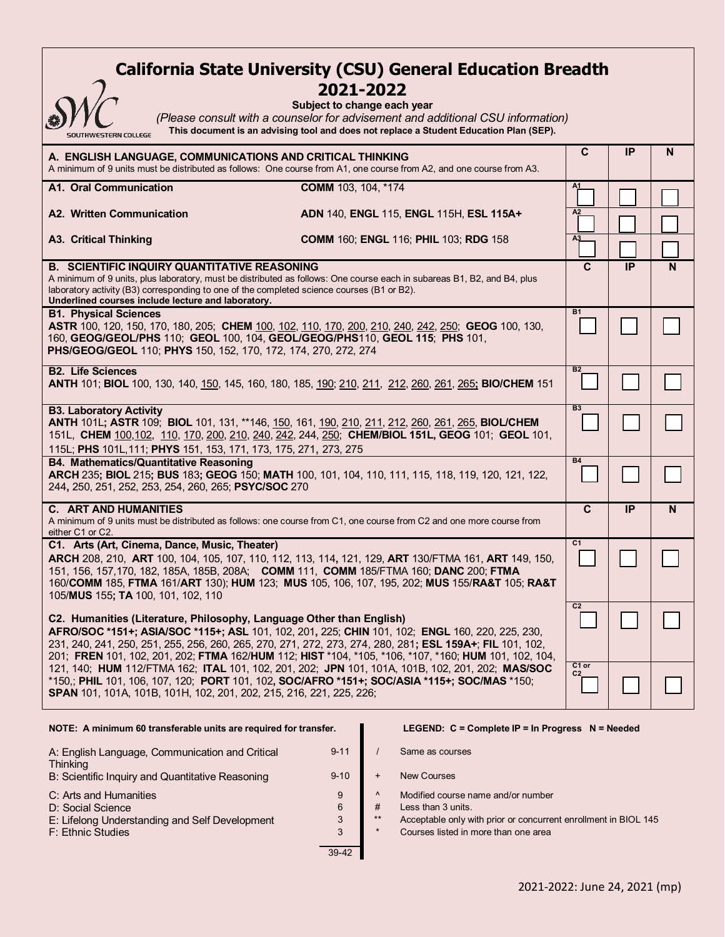# **California State University (CSU) General Education Breadth 2021-2022**

| <b>SOUTHWESTERN COLLEGE</b>   | (Please consult<br>This document |
|-------------------------------|----------------------------------|
| A. ENGLISH LANGUAGE, COMMUNIC |                                  |

#### **Subject to change each year**

*with a counselor for advisement and additional CSU information)* is an advising tool and does not replace a Student Education Plan (SEP).

| A. ENGLISH LANGUAGE, COMMUNICATIONS AND CRITICAL THINKING<br>A minimum of 9 units must be distributed as follows: One course from A1, one course from A2, and one course from A3.                                                                                                                                                                                                                                                                                                                                                                                                                                                                                       |                                         |    | IP        | N |
|-------------------------------------------------------------------------------------------------------------------------------------------------------------------------------------------------------------------------------------------------------------------------------------------------------------------------------------------------------------------------------------------------------------------------------------------------------------------------------------------------------------------------------------------------------------------------------------------------------------------------------------------------------------------------|-----------------------------------------|----|-----------|---|
| A1. Oral Communication                                                                                                                                                                                                                                                                                                                                                                                                                                                                                                                                                                                                                                                  | COMM 103, 104, *174                     | A1 |           |   |
| A2. Written Communication                                                                                                                                                                                                                                                                                                                                                                                                                                                                                                                                                                                                                                               | ADN 140, ENGL 115, ENGL 115H, ESL 115A+ | A2 |           |   |
| <b>COMM 160; ENGL 116; PHIL 103; RDG 158</b><br><b>A3. Critical Thinking</b>                                                                                                                                                                                                                                                                                                                                                                                                                                                                                                                                                                                            |                                         |    |           |   |
| <b>B. SCIENTIFIC INQUIRY QUANTITATIVE REASONING</b><br>A minimum of 9 units, plus laboratory, must be distributed as follows: One course each in subareas B1, B2, and B4, plus<br>laboratory activity (B3) corresponding to one of the completed science courses (B1 or B2).<br>Underlined courses include lecture and laboratory.                                                                                                                                                                                                                                                                                                                                      |                                         |    | IP        | N |
| <b>B1. Physical Sciences</b><br>ASTR 100, 120, 150, 170, 180, 205; CHEM 100, 102, 110, 170, 200, 210, 240, 242, 250; GEOG 100, 130,<br>160, GEOG/GEOL/PHS 110; GEOL 100, 104, GEOL/GEOG/PHS110, GEOL 115; PHS 101,<br>PHS/GEOG/GEOL 110; PHYS 150, 152, 170, 172, 174, 270, 272, 274                                                                                                                                                                                                                                                                                                                                                                                    |                                         |    |           |   |
| <b>B2. Life Sciences</b><br>ANTH 101; BIOL 100, 130, 140, 150, 145, 160, 180, 185, 190; 210, 211, 212, 260, 261, 265; BIO/CHEM 151                                                                                                                                                                                                                                                                                                                                                                                                                                                                                                                                      |                                         |    |           |   |
| <b>B3. Laboratory Activity</b><br>ANTH 101L; ASTR 109; BIOL 101, 131, **146, 150, 161, 190, 210, 211, 212, 260, 261, 265, BIOL/CHEM<br>151L, CHEM 100,102, 110, 170, 200, 210, 240, 242, 244, 250; CHEM/BIOL 151L, GEOG 101; GEOL 101,<br>115L; PHS 101L, 111; PHYS 151, 153, 171, 173, 175, 271, 273, 275                                                                                                                                                                                                                                                                                                                                                              |                                         |    |           |   |
| <b>B4. Mathematics/Quantitative Reasoning</b><br>ARCH 235; BIOL 215; BUS 183; GEOG 150; MATH 100, 101, 104, 110, 111, 115, 118, 119, 120, 121, 122,<br>244, 250, 251, 252, 253, 254, 260, 265; PSYC/SOC 270                                                                                                                                                                                                                                                                                                                                                                                                                                                             |                                         |    |           |   |
| <b>C. ART AND HUMANITIES</b><br>A minimum of 9 units must be distributed as follows: one course from C1, one course from C2 and one more course from<br>either C1 or C2.                                                                                                                                                                                                                                                                                                                                                                                                                                                                                                |                                         |    | <b>IP</b> | N |
| C1. Arts (Art, Cinema, Dance, Music, Theater)<br>ARCH 208, 210, ART 100, 104, 105, 107, 110, 112, 113, 114, 121, 129, ART 130/FTMA 161, ART 149, 150,<br>151, 156, 157, 170, 182, 185A, 185B, 208A; COMM 111, COMM 185/FTMA 160; DANC 200; FTMA<br>160/COMM 185, FTMA 161/ART 130); HUM 123; MUS 105, 106, 107, 195, 202; MUS 155/RA&T 105; RA&T<br>105/MUS 155; TA 100, 101, 102, 110                                                                                                                                                                                                                                                                                  |                                         |    |           |   |
| C2. Humanities (Literature, Philosophy, Language Other than English)<br>AFRO/SOC *151+; ASIA/SOC *115+; ASL 101, 102, 201, 225; CHIN 101, 102; ENGL 160, 220, 225, 230,<br>231, 240, 241, 250, 251, 255, 256, 260, 265, 270, 271, 272, 273, 274, 280, 281; ESL 159A+; FIL 101, 102,<br>201; FREN 101, 102, 201, 202; FTMA 162/HUM 112; HIST *104, *105, *106, *107, *160; HUM 101, 102, 104,<br>121, 140; HUM 112/FTMA 162; ITAL 101, 102, 201, 202; JPN 101, 101A, 101B, 102, 201, 202; MAS/SOC<br>*150,; PHIL 101, 106, 107, 120; PORT 101, 102, SOC/AFRO *151+; SOC/ASIA *115+; SOC/MAS *150;<br>SPAN 101, 101A, 101B, 101H, 102, 201, 202, 215, 216, 221, 225, 226; |                                         |    |           |   |
|                                                                                                                                                                                                                                                                                                                                                                                                                                                                                                                                                                                                                                                                         |                                         |    |           |   |

| A: English Language, Communication and Critical<br>Thinking | $9 - 11$ |
|-------------------------------------------------------------|----------|
| B: Scientific Inquiry and Quantitative Reasoning            | $9 - 10$ |
| C: Arts and Humanities                                      | 9        |
| D: Social Science                                           | 6        |
| E: Lifelong Understanding and Self Development              | 3        |
| F: Ethnic Studies                                           | 3        |
|                                                             |          |

### **NOTE: A minimum 60 transferable units are required for transfer. LEGEND: C = Complete IP = In Progress N = Needed**

/ Same as courses

- + New Courses
- $\sim$  Modified course name and/or number<br>  $\#$  Less than 3 units.
- $#$  Less than 3 units.<br>\*\* Acceptable only w
- \*\* Acceptable only with prior or concurrent enrollment in BIOL 145
- Courses listed in more than one area